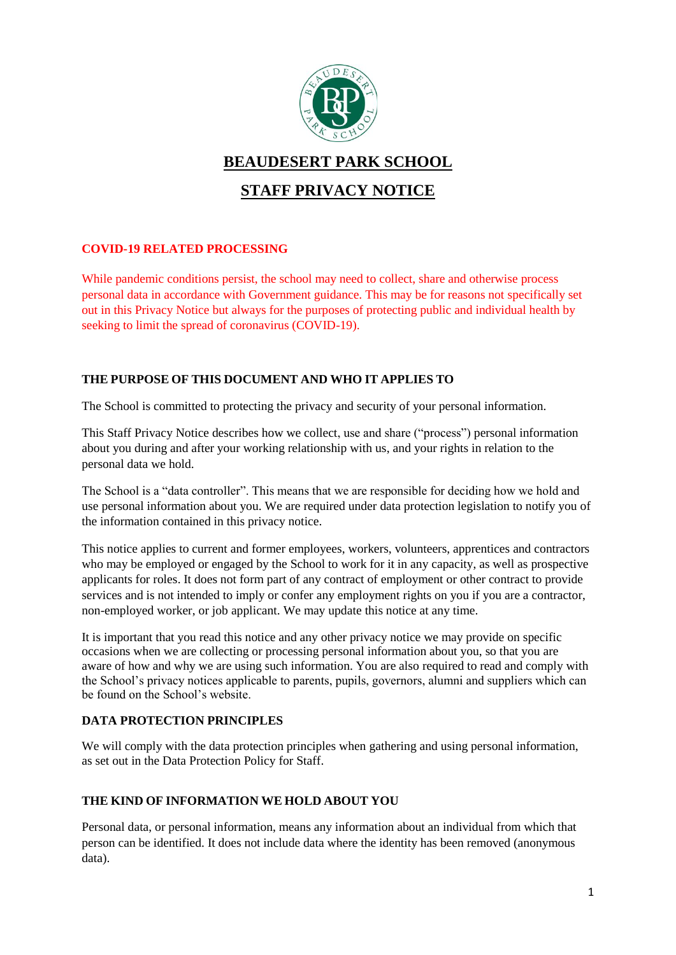

# **BEAUDESERT PARK SCHOOL**

# **STAFF PRIVACY NOTICE**

# **COVID-19 RELATED PROCESSING**

While pandemic conditions persist, the school may need to collect, share and otherwise process personal data in accordance with Government guidance. This may be for reasons not specifically set out in this Privacy Notice but always for the purposes of protecting public and individual health by seeking to limit the spread of coronavirus (COVID-19).

# **THE PURPOSE OF THIS DOCUMENT AND WHO IT APPLIES TO**

The School is committed to protecting the privacy and security of your personal information.

This Staff Privacy Notice describes how we collect, use and share ("process") personal information about you during and after your working relationship with us, and your rights in relation to the personal data we hold.

The School is a "data controller". This means that we are responsible for deciding how we hold and use personal information about you. We are required under data protection legislation to notify you of the information contained in this privacy notice.

This notice applies to current and former employees, workers, volunteers, apprentices and contractors who may be employed or engaged by the School to work for it in any capacity, as well as prospective applicants for roles. It does not form part of any contract of employment or other contract to provide services and is not intended to imply or confer any employment rights on you if you are a contractor, non-employed worker, or job applicant. We may update this notice at any time.

It is important that you read this notice and any other privacy notice we may provide on specific occasions when we are collecting or processing personal information about you, so that you are aware of how and why we are using such information. You are also required to read and comply with the School's privacy notices applicable to parents, pupils, governors, alumni and suppliers which can be found on the School's website.

# **DATA PROTECTION PRINCIPLES**

We will comply with the data protection principles when gathering and using personal information, as set out in the Data Protection Policy for Staff.

### **THE KIND OF INFORMATION WE HOLD ABOUT YOU**

Personal data, or personal information, means any information about an individual from which that person can be identified. It does not include data where the identity has been removed (anonymous data).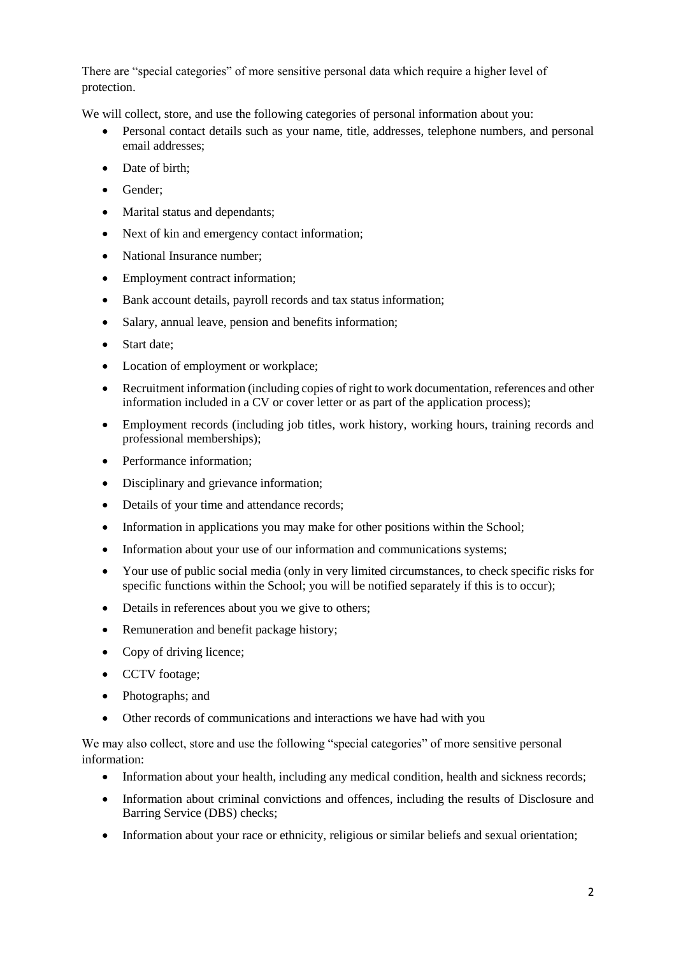There are "special categories" of more sensitive personal data which require a higher level of protection.

We will collect, store, and use the following categories of personal information about you:

- Personal contact details such as your name, title, addresses, telephone numbers, and personal email addresses;
- Date of birth;
- Gender:
- Marital status and dependants;
- Next of kin and emergency contact information;
- National Insurance number:
- Employment contract information;
- Bank account details, payroll records and tax status information;
- Salary, annual leave, pension and benefits information;
- Start date:
- Location of employment or workplace;
- Recruitment information (including copies of right to work documentation, references and other information included in a CV or cover letter or as part of the application process);
- Employment records (including job titles, work history, working hours, training records and professional memberships);
- Performance information;
- Disciplinary and grievance information;
- Details of your time and attendance records;
- Information in applications you may make for other positions within the School;
- Information about your use of our information and communications systems;
- Your use of public social media (only in very limited circumstances, to check specific risks for specific functions within the School; you will be notified separately if this is to occur);
- Details in references about you we give to others;
- Remuneration and benefit package history;
- Copy of driving licence;
- CCTV footage;
- Photographs: and
- Other records of communications and interactions we have had with you

We may also collect, store and use the following "special categories" of more sensitive personal information:

- Information about your health, including any medical condition, health and sickness records;
- Information about criminal convictions and offences, including the results of Disclosure and Barring Service (DBS) checks;
- Information about your race or ethnicity, religious or similar beliefs and sexual orientation;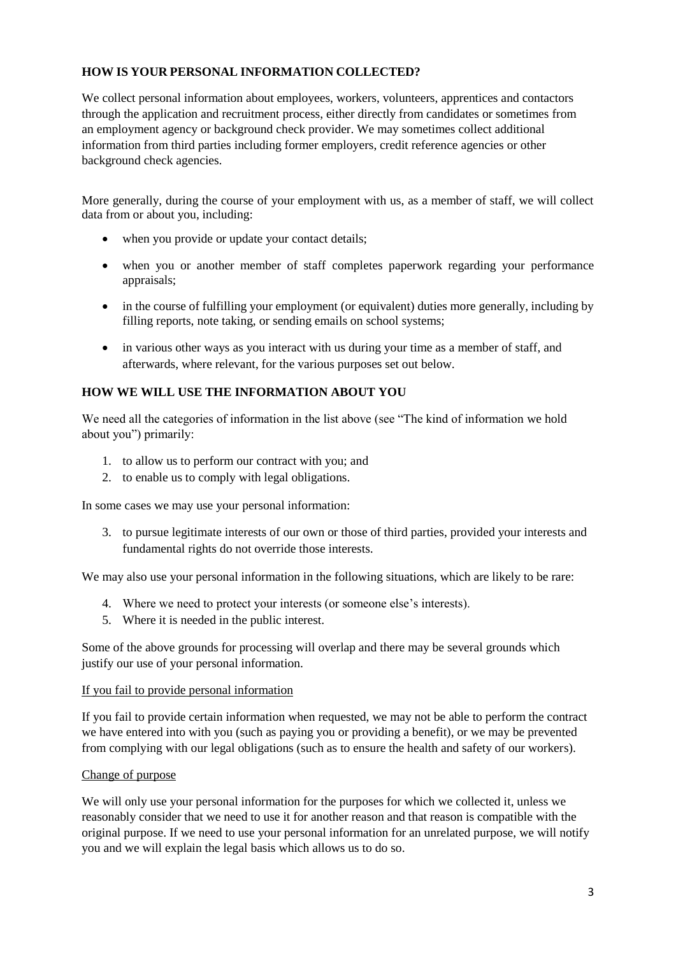### **HOW IS YOUR PERSONAL INFORMATION COLLECTED?**

We collect personal information about employees, workers, volunteers, apprentices and contactors through the application and recruitment process, either directly from candidates or sometimes from an employment agency or background check provider. We may sometimes collect additional information from third parties including former employers, credit reference agencies or other background check agencies.

More generally, during the course of your employment with us, as a member of staff, we will collect data from or about you, including:

- when you provide or update your contact details;
- when you or another member of staff completes paperwork regarding your performance appraisals;
- in the course of fulfilling your employment (or equivalent) duties more generally, including by filling reports, note taking, or sending emails on school systems;
- in various other ways as you interact with us during your time as a member of staff, and afterwards, where relevant, for the various purposes set out below.

### **HOW WE WILL USE THE INFORMATION ABOUT YOU**

We need all the categories of information in the list above (see "The kind of information we hold about you") primarily:

- 1. to allow us to perform our contract with you; and
- 2. to enable us to comply with legal obligations.

In some cases we may use your personal information:

3. to pursue legitimate interests of our own or those of third parties, provided your interests and fundamental rights do not override those interests.

We may also use your personal information in the following situations, which are likely to be rare:

- 4. Where we need to protect your interests (or someone else's interests).
- 5. Where it is needed in the public interest.

Some of the above grounds for processing will overlap and there may be several grounds which justify our use of your personal information.

#### If you fail to provide personal information

If you fail to provide certain information when requested, we may not be able to perform the contract we have entered into with you (such as paying you or providing a benefit), or we may be prevented from complying with our legal obligations (such as to ensure the health and safety of our workers).

#### Change of purpose

We will only use your personal information for the purposes for which we collected it, unless we reasonably consider that we need to use it for another reason and that reason is compatible with the original purpose. If we need to use your personal information for an unrelated purpose, we will notify you and we will explain the legal basis which allows us to do so.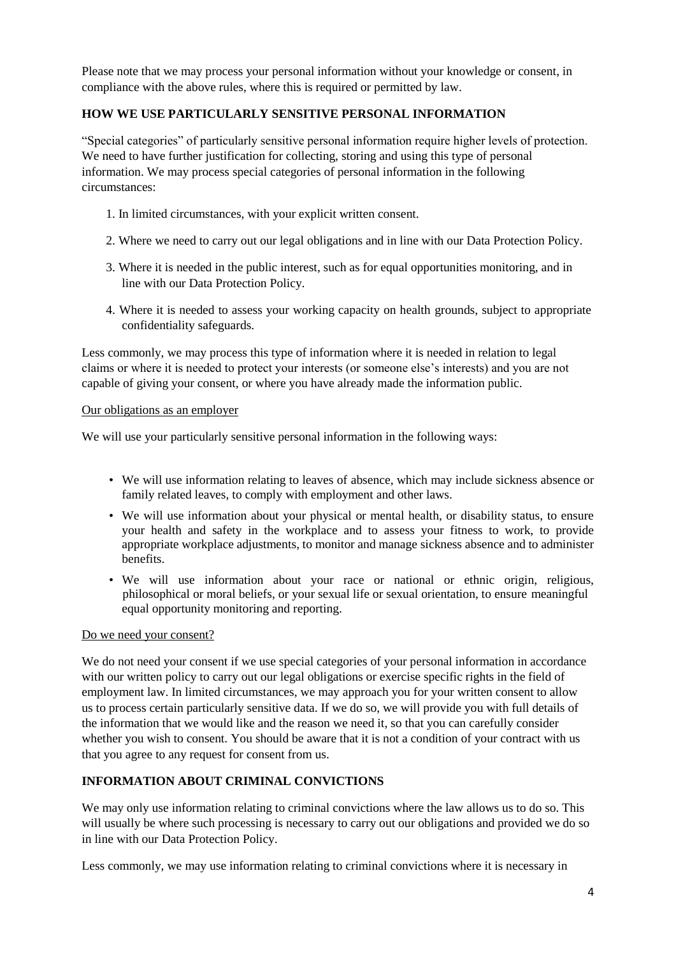Please note that we may process your personal information without your knowledge or consent, in compliance with the above rules, where this is required or permitted by law.

### **HOW WE USE PARTICULARLY SENSITIVE PERSONAL INFORMATION**

"Special categories" of particularly sensitive personal information require higher levels of protection. We need to have further justification for collecting, storing and using this type of personal information. We may process special categories of personal information in the following circumstances:

- 1. In limited circumstances, with your explicit written consent.
- 2. Where we need to carry out our legal obligations and in line with our Data Protection Policy.
- 3. Where it is needed in the public interest, such as for equal opportunities monitoring, and in line with our Data Protection Policy.
- 4. Where it is needed to assess your working capacity on health grounds, subject to appropriate confidentiality safeguards.

Less commonly, we may process this type of information where it is needed in relation to legal claims or where it is needed to protect your interests (or someone else's interests) and you are not capable of giving your consent, or where you have already made the information public.

#### Our obligations as an employer

We will use your particularly sensitive personal information in the following ways:

- We will use information relating to leaves of absence, which may include sickness absence or family related leaves, to comply with employment and other laws.
- We will use information about your physical or mental health, or disability status, to ensure your health and safety in the workplace and to assess your fitness to work, to provide appropriate workplace adjustments, to monitor and manage sickness absence and to administer benefits.
- We will use information about your race or national or ethnic origin, religious, philosophical or moral beliefs, or your sexual life or sexual orientation, to ensure meaningful equal opportunity monitoring and reporting.

#### Do we need your consent?

We do not need your consent if we use special categories of your personal information in accordance with our written policy to carry out our legal obligations or exercise specific rights in the field of employment law. In limited circumstances, we may approach you for your written consent to allow us to process certain particularly sensitive data. If we do so, we will provide you with full details of the information that we would like and the reason we need it, so that you can carefully consider whether you wish to consent. You should be aware that it is not a condition of your contract with us that you agree to any request for consent from us.

# **INFORMATION ABOUT CRIMINAL CONVICTIONS**

We may only use information relating to criminal convictions where the law allows us to do so. This will usually be where such processing is necessary to carry out our obligations and provided we do so in line with our Data Protection Policy.

Less commonly, we may use information relating to criminal convictions where it is necessary in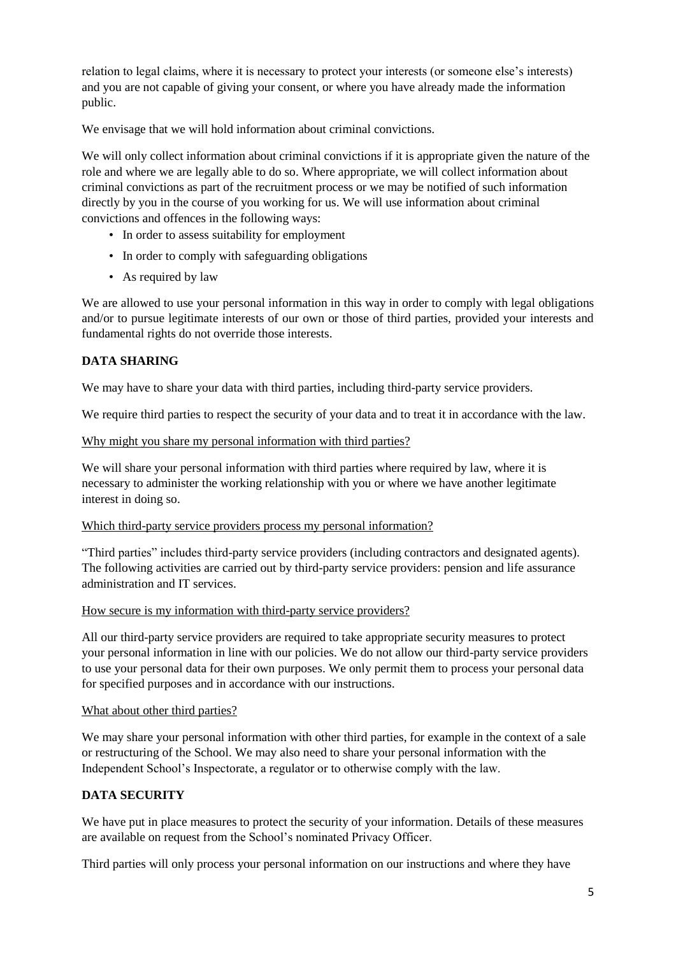relation to legal claims, where it is necessary to protect your interests (or someone else's interests) and you are not capable of giving your consent, or where you have already made the information public.

We envisage that we will hold information about criminal convictions.

We will only collect information about criminal convictions if it is appropriate given the nature of the role and where we are legally able to do so. Where appropriate, we will collect information about criminal convictions as part of the recruitment process or we may be notified of such information directly by you in the course of you working for us. We will use information about criminal convictions and offences in the following ways:

- In order to assess suitability for employment
- In order to comply with safeguarding obligations
- As required by law

We are allowed to use your personal information in this way in order to comply with legal obligations and/or to pursue legitimate interests of our own or those of third parties, provided your interests and fundamental rights do not override those interests.

### **DATA SHARING**

We may have to share your data with third parties, including third-party service providers.

We require third parties to respect the security of your data and to treat it in accordance with the law.

#### Why might you share my personal information with third parties?

We will share your personal information with third parties where required by law, where it is necessary to administer the working relationship with you or where we have another legitimate interest in doing so.

#### Which third-party service providers process my personal information?

"Third parties" includes third-party service providers (including contractors and designated agents). The following activities are carried out by third-party service providers: pension and life assurance administration and IT services.

#### How secure is my information with third-party service providers?

All our third-party service providers are required to take appropriate security measures to protect your personal information in line with our policies. We do not allow our third-party service providers to use your personal data for their own purposes. We only permit them to process your personal data for specified purposes and in accordance with our instructions.

#### What about other third parties?

We may share your personal information with other third parties, for example in the context of a sale or restructuring of the School. We may also need to share your personal information with the Independent School's Inspectorate, a regulator or to otherwise comply with the law.

#### **DATA SECURITY**

We have put in place measures to protect the security of your information. Details of these measures are available on request from the School's nominated Privacy Officer.

Third parties will only process your personal information on our instructions and where they have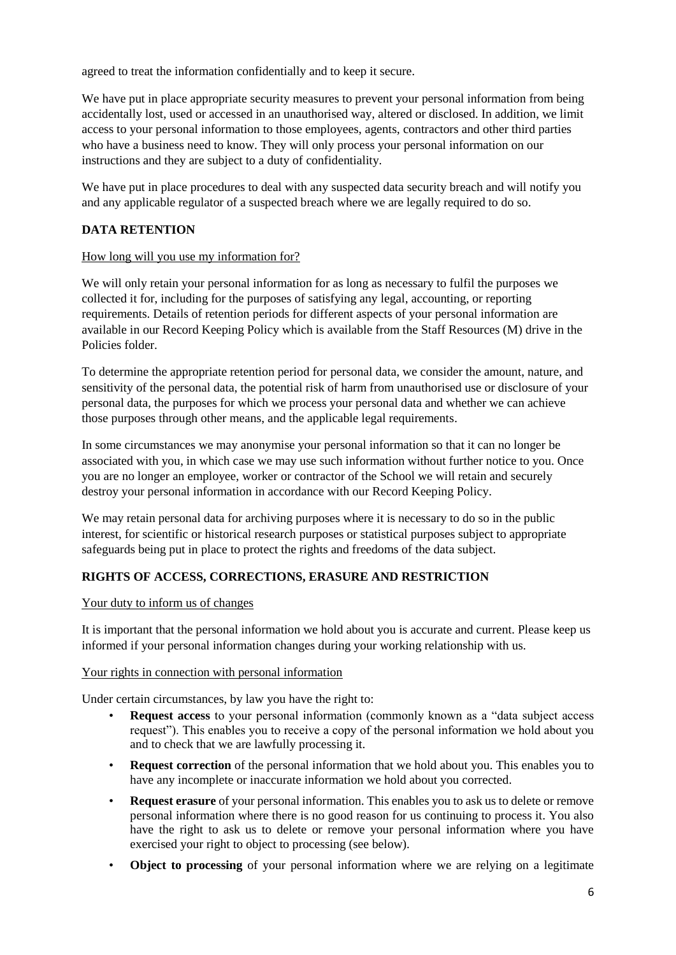agreed to treat the information confidentially and to keep it secure.

We have put in place appropriate security measures to prevent your personal information from being accidentally lost, used or accessed in an unauthorised way, altered or disclosed. In addition, we limit access to your personal information to those employees, agents, contractors and other third parties who have a business need to know. They will only process your personal information on our instructions and they are subject to a duty of confidentiality.

We have put in place procedures to deal with any suspected data security breach and will notify you and any applicable regulator of a suspected breach where we are legally required to do so.

### **DATA RETENTION**

#### How long will you use my information for?

We will only retain your personal information for as long as necessary to fulfil the purposes we collected it for, including for the purposes of satisfying any legal, accounting, or reporting requirements. Details of retention periods for different aspects of your personal information are available in our Record Keeping Policy which is available from the Staff Resources (M) drive in the Policies folder.

To determine the appropriate retention period for personal data, we consider the amount, nature, and sensitivity of the personal data, the potential risk of harm from unauthorised use or disclosure of your personal data, the purposes for which we process your personal data and whether we can achieve those purposes through other means, and the applicable legal requirements.

In some circumstances we may anonymise your personal information so that it can no longer be associated with you, in which case we may use such information without further notice to you. Once you are no longer an employee, worker or contractor of the School we will retain and securely destroy your personal information in accordance with our Record Keeping Policy.

We may retain personal data for archiving purposes where it is necessary to do so in the public interest, for scientific or historical research purposes or statistical purposes subject to appropriate safeguards being put in place to protect the rights and freedoms of the data subject.

## **RIGHTS OF ACCESS, CORRECTIONS, ERASURE AND RESTRICTION**

Your duty to inform us of changes

It is important that the personal information we hold about you is accurate and current. Please keep us informed if your personal information changes during your working relationship with us.

#### Your rights in connection with personal information

Under certain circumstances, by law you have the right to:

- **Request access** to your personal information (commonly known as a "data subject access") request"). This enables you to receive a copy of the personal information we hold about you and to check that we are lawfully processing it.
- **Request correction** of the personal information that we hold about you. This enables you to have any incomplete or inaccurate information we hold about you corrected.
- **Request erasure** of your personal information. This enables you to ask us to delete or remove personal information where there is no good reason for us continuing to process it. You also have the right to ask us to delete or remove your personal information where you have exercised your right to object to processing (see below).
- **Object to processing** of your personal information where we are relying on a legitimate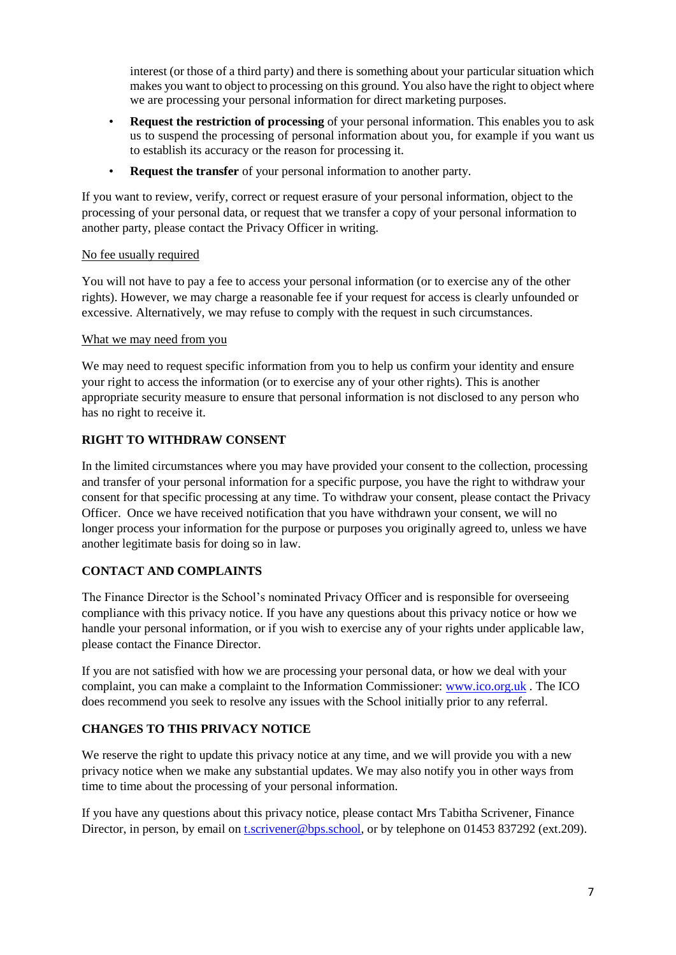interest (or those of a third party) and there is something about your particular situation which makes you want to object to processing on this ground. You also have the right to object where we are processing your personal information for direct marketing purposes.

- **Request the restriction of processing** of your personal information. This enables you to ask us to suspend the processing of personal information about you, for example if you want us to establish its accuracy or the reason for processing it.
- **Request the transfer** of your personal information to another party.

If you want to review, verify, correct or request erasure of your personal information, object to the processing of your personal data, or request that we transfer a copy of your personal information to another party, please contact the Privacy Officer in writing.

## No fee usually required

You will not have to pay a fee to access your personal information (or to exercise any of the other rights). However, we may charge a reasonable fee if your request for access is clearly unfounded or excessive. Alternatively, we may refuse to comply with the request in such circumstances.

### What we may need from you

We may need to request specific information from you to help us confirm your identity and ensure your right to access the information (or to exercise any of your other rights). This is another appropriate security measure to ensure that personal information is not disclosed to any person who has no right to receive it.

# **RIGHT TO WITHDRAW CONSENT**

In the limited circumstances where you may have provided your consent to the collection, processing and transfer of your personal information for a specific purpose, you have the right to withdraw your consent for that specific processing at any time. To withdraw your consent, please contact the Privacy Officer. Once we have received notification that you have withdrawn your consent, we will no longer process your information for the purpose or purposes you originally agreed to, unless we have another legitimate basis for doing so in law.

# **CONTACT AND COMPLAINTS**

The Finance Director is the School's nominated Privacy Officer and is responsible for overseeing compliance with this privacy notice. If you have any questions about this privacy notice or how we handle your personal information, or if you wish to exercise any of your rights under applicable law, please contact the Finance Director.

If you are not satisfied with how we are processing your personal data, or how we deal with your complaint, you can make a complaint to the Information Commissioner: [www.ico.org.uk](http://www.ico.org.uk/) . The ICO does recommend you seek to resolve any issues with the School initially prior to any referral.

# **CHANGES TO THIS PRIVACY NOTICE**

We reserve the right to update this privacy notice at any time, and we will provide you with a new privacy notice when we make any substantial updates. We may also notify you in other ways from time to time about the processing of your personal information.

If you have any questions about this privacy notice, please contact Mrs Tabitha Scrivener, Finance Director, in person, by email on [t.scrivener@bps.school,](mailto:t.scrivener@bps.school) or by telephone on 01453 837292 (ext.209).